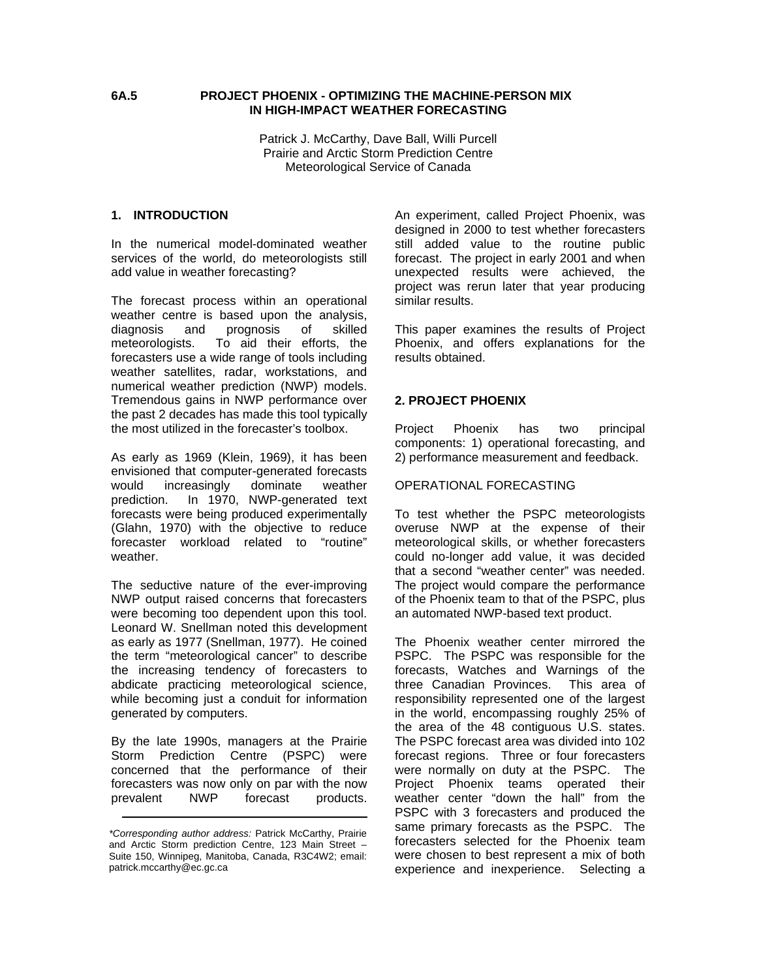### **6A.5 PROJECT PHOENIX - OPTIMIZING THE MACHINE-PERSON MIX IN HIGH-IMPACT WEATHER FORECASTING**

Patrick J. McCarthy, Dave Ball, Willi Purcell Prairie and Arctic Storm Prediction Centre Meteorological Service of Canada

#### **1. INTRODUCTION**

In the numerical model-dominated weather services of the world, do meteorologists still add value in weather forecasting?

The forecast process within an operational weather centre is based upon the analysis, diagnosis and prognosis of skilled meteorologists. To aid their efforts, the forecasters use a wide range of tools including weather satellites, radar, workstations, and numerical weather prediction (NWP) models. Tremendous gains in NWP performance over the past 2 decades has made this tool typically the most utilized in the forecaster's toolbox.

As early as 1969 (Klein, 1969), it has been envisioned that computer-generated forecasts would increasingly dominate weather prediction. In 1970, NWP-generated text forecasts were being produced experimentally (Glahn, 1970) with the objective to reduce forecaster workload related to "routine" weather.

The seductive nature of the ever-improving NWP output raised concerns that forecasters were becoming too dependent upon this tool. Leonard W. Snellman noted this development as early as 1977 (Snellman, 1977). He coined the term "meteorological cancer" to describe the increasing tendency of forecasters to abdicate practicing meteorological science, while becoming just a conduit for information generated by computers.

By the late 1990s, managers at the Prairie Storm Prediction Centre (PSPC) were concerned that the performance of their forecasters was now only on par with the now prevalent NWP forecast products. An experiment, called Project Phoenix, was designed in 2000 to test whether forecasters still added value to the routine public forecast. The project in early 2001 and when unexpected results were achieved, the project was rerun later that year producing similar results.

This paper examines the results of Project Phoenix, and offers explanations for the results obtained.

### **2. PROJECT PHOENIX**

Project Phoenix has two principal components: 1) operational forecasting, and 2) performance measurement and feedback.

#### OPERATIONAL FORECASTING

To test whether the PSPC meteorologists overuse NWP at the expense of their meteorological skills, or whether forecasters could no-longer add value, it was decided that a second "weather center" was needed. The project would compare the performance of the Phoenix team to that of the PSPC, plus an automated NWP-based text product.

The Phoenix weather center mirrored the PSPC. The PSPC was responsible for the forecasts, Watches and Warnings of the three Canadian Provinces. This area of responsibility represented one of the largest in the world, encompassing roughly 25% of the area of the 48 contiguous U.S. states. The PSPC forecast area was divided into 102 forecast regions. Three or four forecasters were normally on duty at the PSPC. The Project Phoenix teams operated their weather center "down the hall" from the PSPC with 3 forecasters and produced the same primary forecasts as the PSPC. The forecasters selected for the Phoenix team were chosen to best represent a mix of both experience and inexperience. Selecting a

*<sup>\*</sup>Corresponding author address:* Patrick McCarthy, Prairie and Arctic Storm prediction Centre, 123 Main Street – Suite 150, Winnipeg, Manitoba, Canada, R3C4W2; email: patrick.mccarthy@ec.gc.ca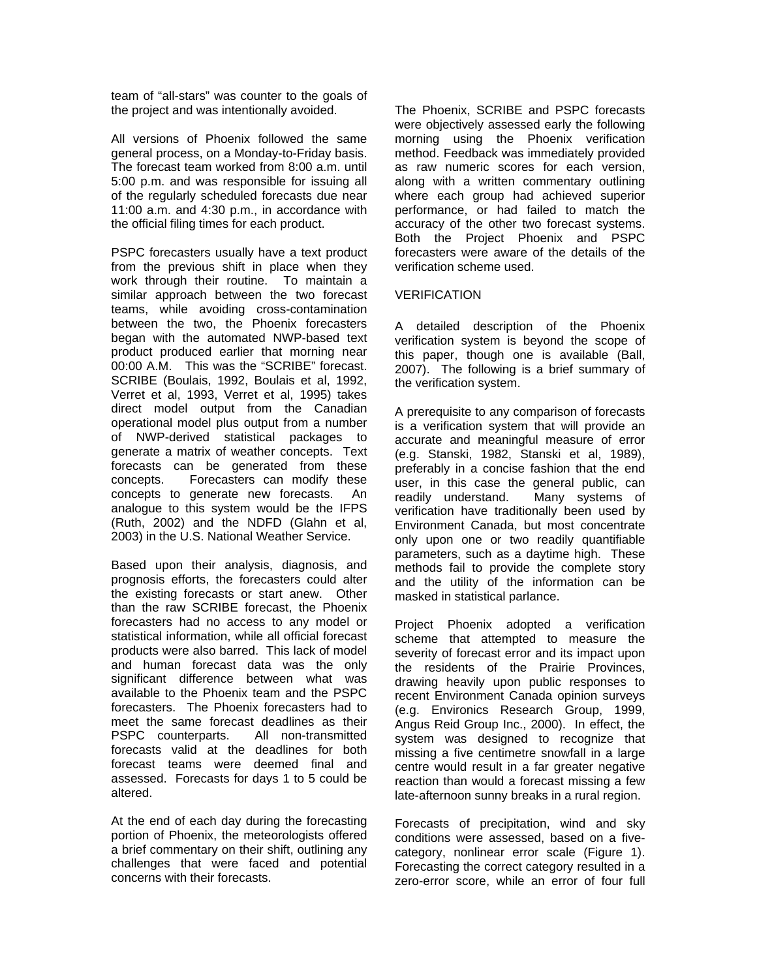team of "all-stars" was counter to the goals of the project and was intentionally avoided.

All versions of Phoenix followed the same general process, on a Monday-to-Friday basis. The forecast team worked from 8:00 a.m. until 5:00 p.m. and was responsible for issuing all of the regularly scheduled forecasts due near 11:00 a.m. and 4:30 p.m., in accordance with the official filing times for each product.

PSPC forecasters usually have a text product from the previous shift in place when they work through their routine. To maintain a similar approach between the two forecast teams, while avoiding cross-contamination between the two, the Phoenix forecasters began with the automated NWP-based text product produced earlier that morning near 00:00 A.M. This was the "SCRIBE" forecast. SCRIBE (Boulais, 1992, Boulais et al, 1992, Verret et al, 1993, Verret et al, 1995) takes direct model output from the Canadian operational model plus output from a number of NWP-derived statistical packages to generate a matrix of weather concepts. Text forecasts can be generated from these concepts. Forecasters can modify these concepts to generate new forecasts. An analogue to this system would be the IFPS (Ruth, 2002) and the NDFD (Glahn et al, 2003) in the U.S. National Weather Service.

Based upon their analysis, diagnosis, and prognosis efforts, the forecasters could alter the existing forecasts or start anew. Other than the raw SCRIBE forecast, the Phoenix forecasters had no access to any model or statistical information, while all official forecast products were also barred. This lack of model and human forecast data was the only significant difference between what was available to the Phoenix team and the PSPC forecasters. The Phoenix forecasters had to meet the same forecast deadlines as their PSPC counterparts. All non-transmitted forecasts valid at the deadlines for both forecast teams were deemed final and assessed. Forecasts for days 1 to 5 could be altered.

At the end of each day during the forecasting portion of Phoenix, the meteorologists offered a brief commentary on their shift, outlining any challenges that were faced and potential concerns with their forecasts.

The Phoenix, SCRIBE and PSPC forecasts were objectively assessed early the following morning using the Phoenix verification method. Feedback was immediately provided as raw numeric scores for each version, along with a written commentary outlining where each group had achieved superior performance, or had failed to match the accuracy of the other two forecast systems. Both the Project Phoenix and PSPC forecasters were aware of the details of the verification scheme used.

# VERIFICATION

A detailed description of the Phoenix verification system is beyond the scope of this paper, though one is available (Ball, 2007). The following is a brief summary of the verification system.

A prerequisite to any comparison of forecasts is a verification system that will provide an accurate and meaningful measure of error (e.g. Stanski, 1982, Stanski et al, 1989), preferably in a concise fashion that the end user, in this case the general public, can readily understand. Many systems of verification have traditionally been used by Environment Canada, but most concentrate only upon one or two readily quantifiable parameters, such as a daytime high. These methods fail to provide the complete story and the utility of the information can be masked in statistical parlance.

Project Phoenix adopted a verification scheme that attempted to measure the severity of forecast error and its impact upon the residents of the Prairie Provinces, drawing heavily upon public responses to recent Environment Canada opinion surveys (e.g. Environics Research Group, 1999, Angus Reid Group Inc., 2000). In effect, the system was designed to recognize that missing a five centimetre snowfall in a large centre would result in a far greater negative reaction than would a forecast missing a few late-afternoon sunny breaks in a rural region.

Forecasts of precipitation, wind and sky conditions were assessed, based on a fivecategory, nonlinear error scale (Figure 1). Forecasting the correct category resulted in a zero-error score, while an error of four full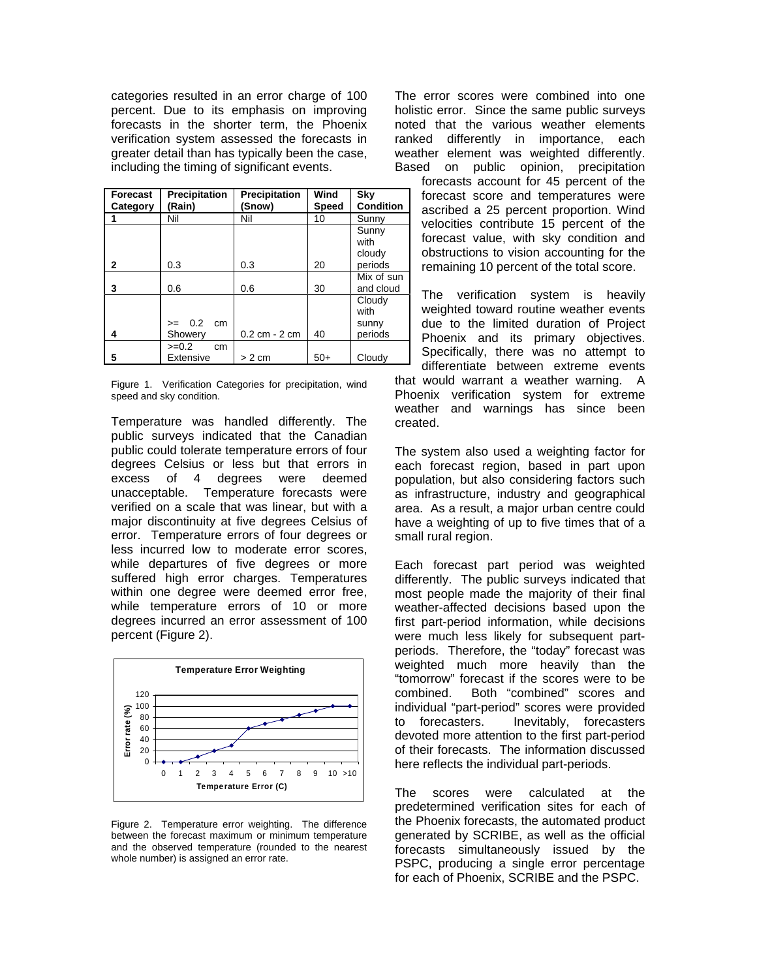categories resulted in an error charge of 100 percent. Due to its emphasis on improving forecasts in the shorter term, the Phoenix verification system assessed the forecasts in greater detail than has typically been the case, including the timing of significant events.

| Forecast<br>Category | Precipitation<br>(Rain)      | <b>Precipitation</b><br>(Snow)      | Wind<br><b>Speed</b> | Sky<br><b>Condition</b>            |
|----------------------|------------------------------|-------------------------------------|----------------------|------------------------------------|
|                      | Nil                          | Nil                                 | 10                   | Sunny                              |
|                      |                              |                                     |                      | Sunny<br>with<br>cloudy            |
| $\mathbf{2}$         | 0.3                          | 0.3                                 | 20                   | periods                            |
| 3                    | 0.6                          | 0.6                                 | 30                   | Mix of sun<br>and cloud            |
| 4                    | 0.2<br>cm<br>$>=$<br>Showery | $0.2 \, \text{cm} - 2 \, \text{cm}$ | 40                   | Cloudy<br>with<br>sunny<br>periods |
| 5                    | $>=0.2$<br>cm<br>Extensive   | $> 2$ cm                            | $50+$                | Cloudy                             |

Figure 1. Verification Categories for precipitation, wind speed and sky condition.

Temperature was handled differently. The public surveys indicated that the Canadian public could tolerate temperature errors of four degrees Celsius or less but that errors in excess of 4 degrees were deemed unacceptable. Temperature forecasts were verified on a scale that was linear, but with a major discontinuity at five degrees Celsius of error. Temperature errors of four degrees or less incurred low to moderate error scores, while departures of five degrees or more suffered high error charges. Temperatures within one degree were deemed error free, while temperature errors of 10 or more degrees incurred an error assessment of 100 percent (Figure 2).



Figure 2. Temperature error weighting. The difference between the forecast maximum or minimum temperature and the observed temperature (rounded to the nearest whole number) is assigned an error rate.

The error scores were combined into one holistic error. Since the same public surveys noted that the various weather elements ranked differently in importance, each weather element was weighted differently. Based on public opinion, precipitation

> forecasts account for 45 percent of the forecast score and temperatures were ascribed a 25 percent proportion. Wind velocities contribute 15 percent of the forecast value, with sky condition and obstructions to vision accounting for the remaining 10 percent of the total score.

> The verification system is heavily weighted toward routine weather events due to the limited duration of Project Phoenix and its primary objectives. Specifically, there was no attempt to differentiate between extreme events

that would warrant a weather warning. A Phoenix verification system for extreme weather and warnings has since been created.

The system also used a weighting factor for each forecast region, based in part upon population, but also considering factors such as infrastructure, industry and geographical area. As a result, a major urban centre could have a weighting of up to five times that of a small rural region.

Each forecast part period was weighted differently. The public surveys indicated that most people made the majority of their final weather-affected decisions based upon the first part-period information, while decisions were much less likely for subsequent partperiods. Therefore, the "today" forecast was weighted much more heavily than the "tomorrow" forecast if the scores were to be combined. Both "combined" scores and individual "part-period" scores were provided to forecasters. Inevitably, forecasters devoted more attention to the first part-period of their forecasts. The information discussed here reflects the individual part-periods.

The scores were calculated at the predetermined verification sites for each of the Phoenix forecasts, the automated product generated by SCRIBE, as well as the official forecasts simultaneously issued by the PSPC, producing a single error percentage for each of Phoenix, SCRIBE and the PSPC.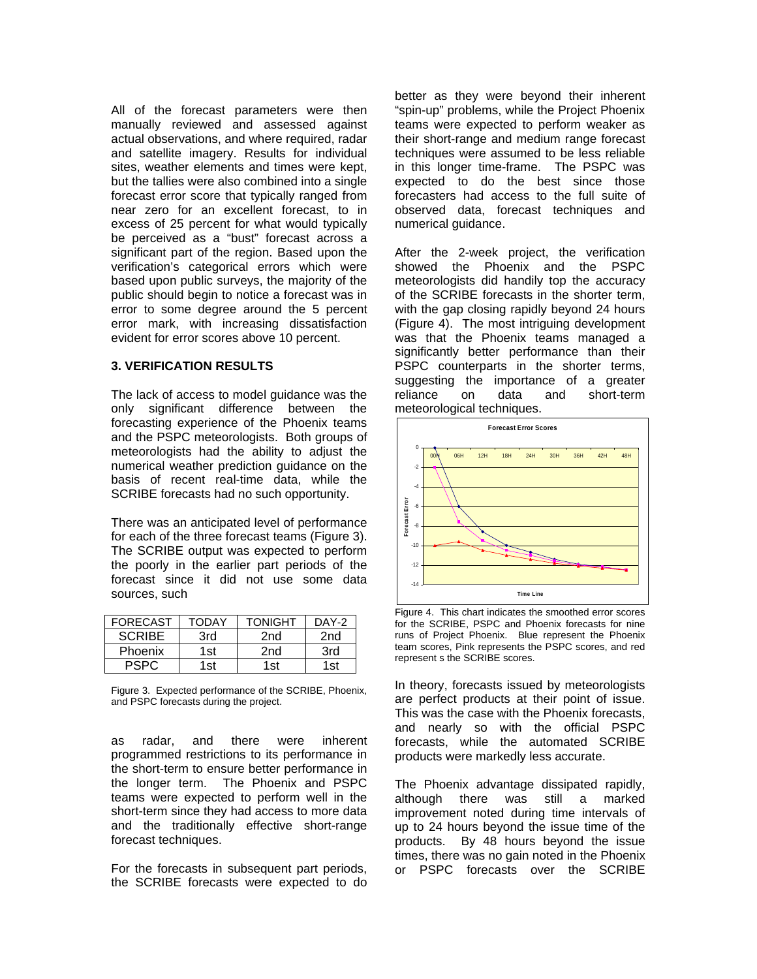All of the forecast parameters were then manually reviewed and assessed against actual observations, and where required, radar and satellite imagery. Results for individual sites, weather elements and times were kept, but the tallies were also combined into a single forecast error score that typically ranged from near zero for an excellent forecast, to in excess of 25 percent for what would typically be perceived as a "bust" forecast across a significant part of the region. Based upon the verification's categorical errors which were based upon public surveys, the majority of the public should begin to notice a forecast was in error to some degree around the 5 percent error mark, with increasing dissatisfaction evident for error scores above 10 percent.

### **3. VERIFICATION RESULTS**

The lack of access to model guidance was the only significant difference between the forecasting experience of the Phoenix teams and the PSPC meteorologists. Both groups of meteorologists had the ability to adjust the numerical weather prediction guidance on the basis of recent real-time data, while the SCRIBE forecasts had no such opportunity.

There was an anticipated level of performance for each of the three forecast teams (Figure 3). The SCRIBE output was expected to perform the poorly in the earlier part periods of the forecast since it did not use some data sources, such

| <b>FORECAST</b> | TODAY | TONIGHT | DAY-2 |
|-----------------|-------|---------|-------|
| <b>SCRIBE</b>   | 3rd   | 2nd     | 2nd   |
| Phoenix         | 1st   | 2nd     | 3rd   |
| PSPC            | 1st.  | 1st     | 1st   |

Figure 3. Expected performance of the SCRIBE, Phoenix, and PSPC forecasts during the project.

as radar, and there were inherent programmed restrictions to its performance in the short-term to ensure better performance in the longer term. The Phoenix and PSPC teams were expected to perform well in the short-term since they had access to more data and the traditionally effective short-range forecast techniques.

For the forecasts in subsequent part periods, the SCRIBE forecasts were expected to do better as they were beyond their inherent "spin-up" problems, while the Project Phoenix teams were expected to perform weaker as their short-range and medium range forecast techniques were assumed to be less reliable in this longer time-frame. The PSPC was expected to do the best since those forecasters had access to the full suite of observed data, forecast techniques and numerical guidance.

After the 2-week project, the verification showed the Phoenix and the PSPC meteorologists did handily top the accuracy of the SCRIBE forecasts in the shorter term, with the gap closing rapidly beyond 24 hours (Figure 4). The most intriguing development was that the Phoenix teams managed a significantly better performance than their PSPC counterparts in the shorter terms, suggesting the importance of a greater reliance on data and short-term meteorological techniques.



Figure 4. This chart indicates the smoothed error scores for the SCRIBE, PSPC and Phoenix forecasts for nine runs of Project Phoenix. Blue represent the Phoenix team scores, Pink represents the PSPC scores, and red represent s the SCRIBE scores.

In theory, forecasts issued by meteorologists are perfect products at their point of issue. This was the case with the Phoenix forecasts, and nearly so with the official PSPC forecasts, while the automated SCRIBE products were markedly less accurate.

The Phoenix advantage dissipated rapidly, although there was still a marked improvement noted during time intervals of up to 24 hours beyond the issue time of the products. By 48 hours beyond the issue times, there was no gain noted in the Phoenix or PSPC forecasts over the SCRIBE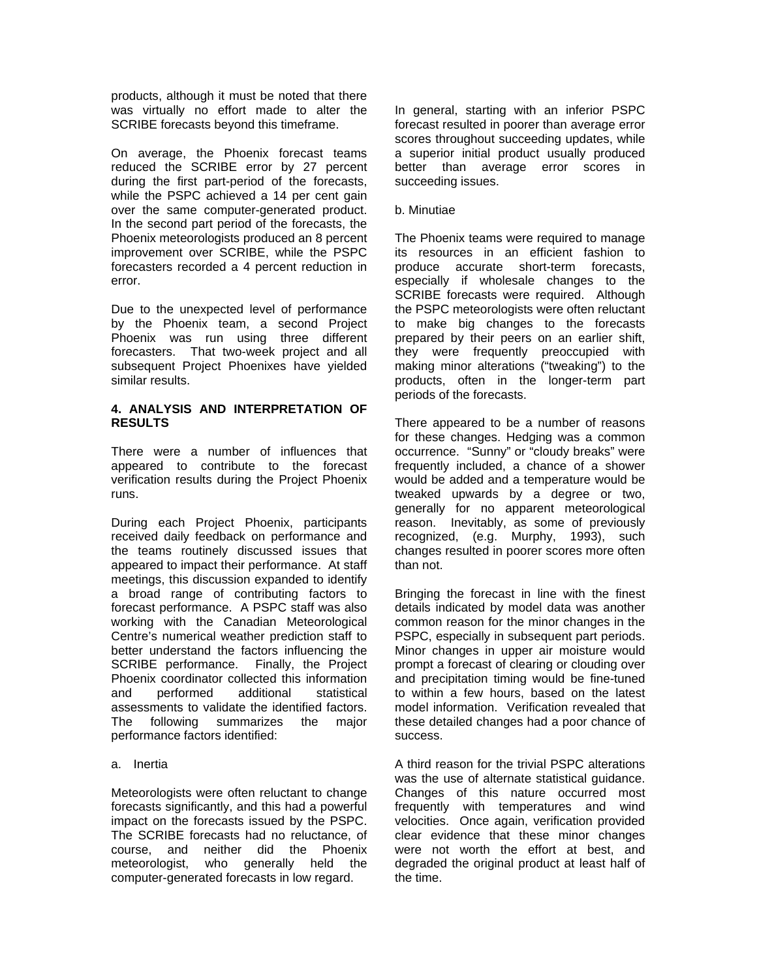products, although it must be noted that there was virtually no effort made to alter the SCRIBE forecasts beyond this timeframe.

On average, the Phoenix forecast teams reduced the SCRIBE error by 27 percent during the first part-period of the forecasts, while the PSPC achieved a 14 per cent gain over the same computer-generated product. In the second part period of the forecasts, the Phoenix meteorologists produced an 8 percent improvement over SCRIBE, while the PSPC forecasters recorded a 4 percent reduction in error.

Due to the unexpected level of performance by the Phoenix team, a second Project Phoenix was run using three different forecasters. That two-week project and all subsequent Project Phoenixes have yielded similar results.

### **4. ANALYSIS AND INTERPRETATION OF RESULTS**

There were a number of influences that appeared to contribute to the forecast verification results during the Project Phoenix runs.

During each Project Phoenix, participants received daily feedback on performance and the teams routinely discussed issues that appeared to impact their performance. At staff meetings, this discussion expanded to identify a broad range of contributing factors to forecast performance. A PSPC staff was also working with the Canadian Meteorological Centre's numerical weather prediction staff to better understand the factors influencing the SCRIBE performance. Finally, the Project Phoenix coordinator collected this information and performed additional statistical assessments to validate the identified factors. The following summarizes the major performance factors identified:

### a. Inertia

Meteorologists were often reluctant to change forecasts significantly, and this had a powerful impact on the forecasts issued by the PSPC. The SCRIBE forecasts had no reluctance, of course, and neither did the Phoenix meteorologist, who generally held the computer-generated forecasts in low regard.

In general, starting with an inferior PSPC forecast resulted in poorer than average error scores throughout succeeding updates, while a superior initial product usually produced better than average error scores in succeeding issues.

### b. Minutiae

The Phoenix teams were required to manage its resources in an efficient fashion to produce accurate short-term forecasts, especially if wholesale changes to the SCRIBE forecasts were required. Although the PSPC meteorologists were often reluctant to make big changes to the forecasts prepared by their peers on an earlier shift, they were frequently preoccupied with making minor alterations ("tweaking") to the products, often in the longer-term part periods of the forecasts.

There appeared to be a number of reasons for these changes. Hedging was a common occurrence. "Sunny" or "cloudy breaks" were frequently included, a chance of a shower would be added and a temperature would be tweaked upwards by a degree or two, generally for no apparent meteorological reason. Inevitably, as some of previously recognized, (e.g. Murphy, 1993), such changes resulted in poorer scores more often than not.

Bringing the forecast in line with the finest details indicated by model data was another common reason for the minor changes in the PSPC, especially in subsequent part periods. Minor changes in upper air moisture would prompt a forecast of clearing or clouding over and precipitation timing would be fine-tuned to within a few hours, based on the latest model information. Verification revealed that these detailed changes had a poor chance of success.

A third reason for the trivial PSPC alterations was the use of alternate statistical guidance. Changes of this nature occurred most frequently with temperatures and wind velocities. Once again, verification provided clear evidence that these minor changes were not worth the effort at best, and degraded the original product at least half of the time.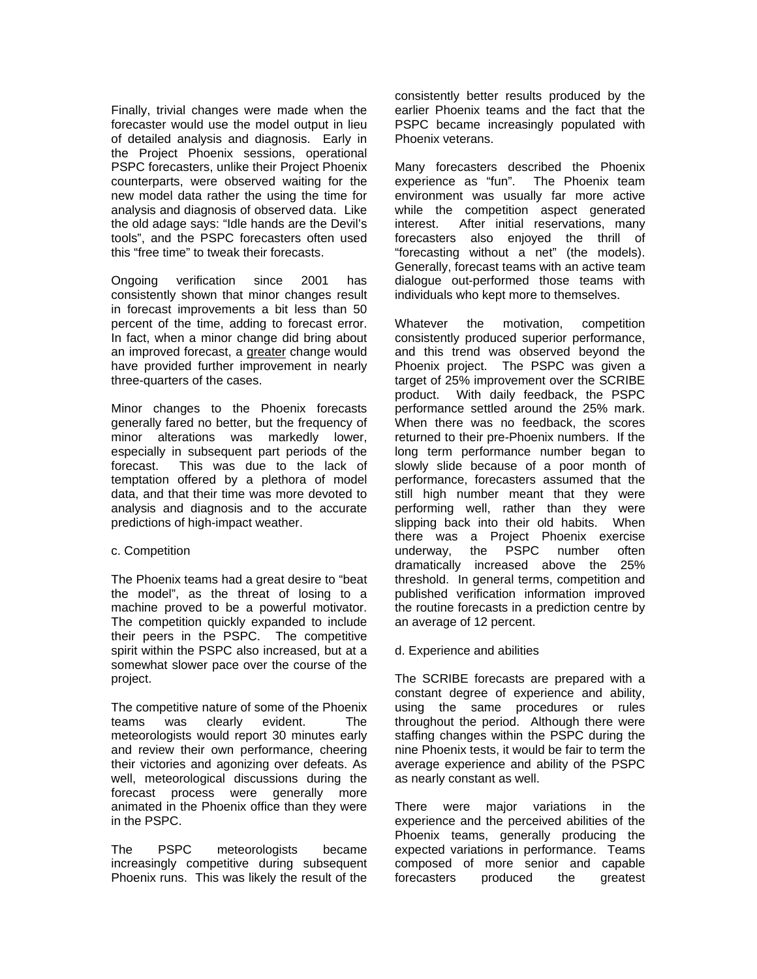Finally, trivial changes were made when the forecaster would use the model output in lieu of detailed analysis and diagnosis. Early in the Project Phoenix sessions, operational PSPC forecasters, unlike their Project Phoenix counterparts, were observed waiting for the new model data rather the using the time for analysis and diagnosis of observed data. Like the old adage says: "Idle hands are the Devil's tools", and the PSPC forecasters often used this "free time" to tweak their forecasts.

Ongoing verification since 2001 has consistently shown that minor changes result in forecast improvements a bit less than 50 percent of the time, adding to forecast error. In fact, when a minor change did bring about an improved forecast, a greater change would have provided further improvement in nearly three-quarters of the cases.

Minor changes to the Phoenix forecasts generally fared no better, but the frequency of minor alterations was markedly lower, especially in subsequent part periods of the forecast. This was due to the lack of temptation offered by a plethora of model data, and that their time was more devoted to analysis and diagnosis and to the accurate predictions of high-impact weather.

### c. Competition

The Phoenix teams had a great desire to "beat the model", as the threat of losing to a machine proved to be a powerful motivator. The competition quickly expanded to include their peers in the PSPC. The competitive spirit within the PSPC also increased, but at a somewhat slower pace over the course of the project.

The competitive nature of some of the Phoenix teams was clearly evident. The meteorologists would report 30 minutes early and review their own performance, cheering their victories and agonizing over defeats. As well, meteorological discussions during the forecast process were generally more animated in the Phoenix office than they were in the PSPC.

The PSPC meteorologists became increasingly competitive during subsequent Phoenix runs. This was likely the result of the

consistently better results produced by the earlier Phoenix teams and the fact that the PSPC became increasingly populated with Phoenix veterans.

Many forecasters described the Phoenix experience as "fun". The Phoenix team environment was usually far more active while the competition aspect generated interest. After initial reservations, many forecasters also enjoyed the thrill of "forecasting without a net" (the models). Generally, forecast teams with an active team dialogue out-performed those teams with individuals who kept more to themselves.

Whatever the motivation, competition consistently produced superior performance, and this trend was observed beyond the Phoenix project. The PSPC was given a target of 25% improvement over the SCRIBE product. With daily feedback, the PSPC performance settled around the 25% mark. When there was no feedback, the scores returned to their pre-Phoenix numbers. If the long term performance number began to slowly slide because of a poor month of performance, forecasters assumed that the still high number meant that they were performing well, rather than they were slipping back into their old habits. When there was a Project Phoenix exercise underway, the PSPC number often dramatically increased above the 25% threshold. In general terms, competition and published verification information improved the routine forecasts in a prediction centre by an average of 12 percent.

# d. Experience and abilities

The SCRIBE forecasts are prepared with a constant degree of experience and ability, using the same procedures or rules throughout the period. Although there were staffing changes within the PSPC during the nine Phoenix tests, it would be fair to term the average experience and ability of the PSPC as nearly constant as well.

There were major variations in the experience and the perceived abilities of the Phoenix teams, generally producing the expected variations in performance. Teams composed of more senior and capable forecasters produced the greatest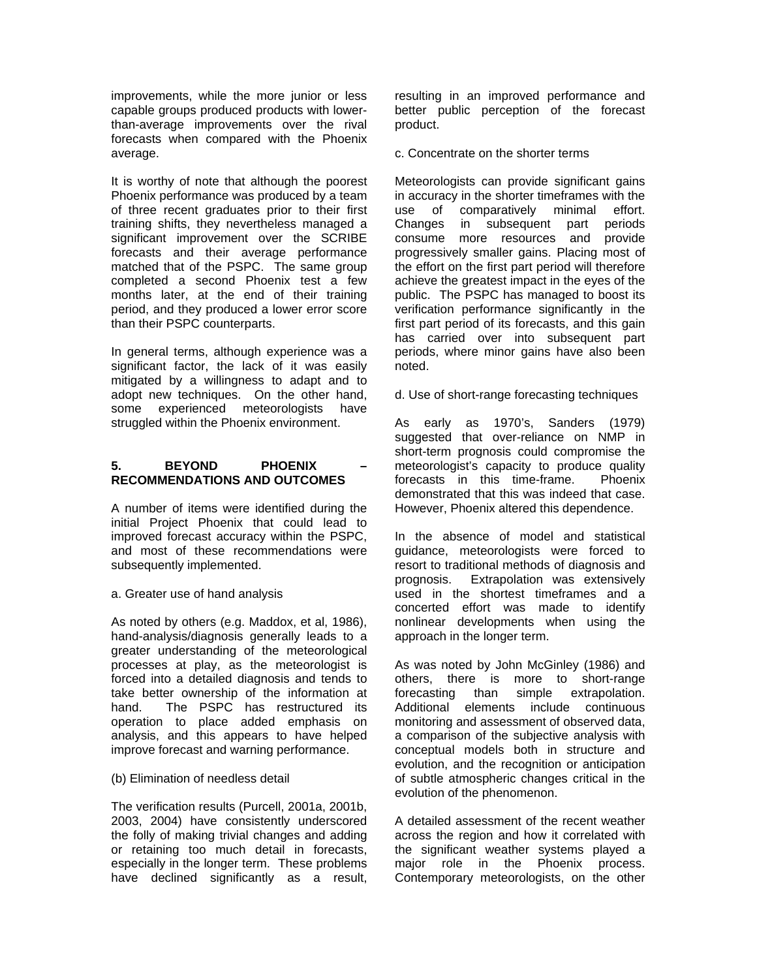improvements, while the more junior or less capable groups produced products with lowerthan-average improvements over the rival forecasts when compared with the Phoenix average.

It is worthy of note that although the poorest Phoenix performance was produced by a team of three recent graduates prior to their first training shifts, they nevertheless managed a significant improvement over the SCRIBE forecasts and their average performance matched that of the PSPC. The same group completed a second Phoenix test a few months later, at the end of their training period, and they produced a lower error score than their PSPC counterparts.

In general terms, although experience was a significant factor, the lack of it was easily mitigated by a willingness to adapt and to adopt new techniques. On the other hand, some experienced meteorologists have struggled within the Phoenix environment.

### 5. **BEYOND** PHOENIX **RECOMMENDATIONS AND OUTCOMES**

A number of items were identified during the initial Project Phoenix that could lead to improved forecast accuracy within the PSPC, and most of these recommendations were subsequently implemented.

### a. Greater use of hand analysis

As noted by others (e.g. Maddox, et al, 1986), hand-analysis/diagnosis generally leads to a greater understanding of the meteorological processes at play, as the meteorologist is forced into a detailed diagnosis and tends to take better ownership of the information at hand. The PSPC has restructured its operation to place added emphasis on analysis, and this appears to have helped improve forecast and warning performance.

# (b) Elimination of needless detail

The verification results (Purcell, 2001a, 2001b, 2003, 2004) have consistently underscored the folly of making trivial changes and adding or retaining too much detail in forecasts, especially in the longer term. These problems have declined significantly as a result, resulting in an improved performance and better public perception of the forecast product.

c. Concentrate on the shorter terms

Meteorologists can provide significant gains in accuracy in the shorter timeframes with the use of comparatively minimal effort. Changes in subsequent part periods consume more resources and provide progressively smaller gains. Placing most of the effort on the first part period will therefore achieve the greatest impact in the eyes of the public. The PSPC has managed to boost its verification performance significantly in the first part period of its forecasts, and this gain has carried over into subsequent part periods, where minor gains have also been noted.

d. Use of short-range forecasting techniques

As early as 1970's, Sanders (1979) suggested that over-reliance on NMP in short-term prognosis could compromise the meteorologist's capacity to produce quality forecasts in this time-frame. Phoenix demonstrated that this was indeed that case. However, Phoenix altered this dependence.

In the absence of model and statistical guidance, meteorologists were forced to resort to traditional methods of diagnosis and prognosis. Extrapolation was extensively used in the shortest timeframes and a concerted effort was made to identify nonlinear developments when using the approach in the longer term.

As was noted by John McGinley (1986) and others, there is more to short-range forecasting than simple extrapolation. Additional elements include continuous monitoring and assessment of observed data, a comparison of the subjective analysis with conceptual models both in structure and evolution, and the recognition or anticipation of subtle atmospheric changes critical in the evolution of the phenomenon.

A detailed assessment of the recent weather across the region and how it correlated with the significant weather systems played a major role in the Phoenix process. Contemporary meteorologists, on the other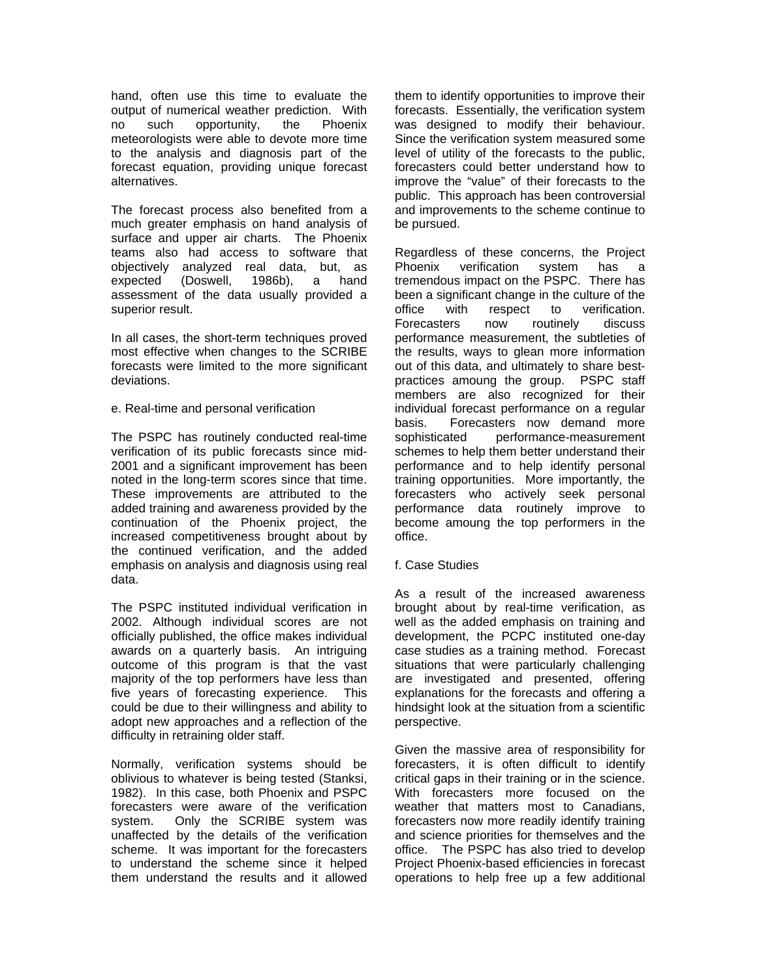hand, often use this time to evaluate the output of numerical weather prediction. With no such opportunity, the Phoenix meteorologists were able to devote more time to the analysis and diagnosis part of the forecast equation, providing unique forecast alternatives.

The forecast process also benefited from a much greater emphasis on hand analysis of surface and upper air charts. The Phoenix teams also had access to software that objectively analyzed real data, but, as expected (Doswell, 1986b), a hand assessment of the data usually provided a superior result.

In all cases, the short-term techniques proved most effective when changes to the SCRIBE forecasts were limited to the more significant deviations.

#### e. Real-time and personal verification

The PSPC has routinely conducted real-time verification of its public forecasts since mid-2001 and a significant improvement has been noted in the long-term scores since that time. These improvements are attributed to the added training and awareness provided by the continuation of the Phoenix project, the increased competitiveness brought about by the continued verification, and the added emphasis on analysis and diagnosis using real data.

The PSPC instituted individual verification in 2002. Although individual scores are not officially published, the office makes individual awards on a quarterly basis. An intriguing outcome of this program is that the vast majority of the top performers have less than five years of forecasting experience. This could be due to their willingness and ability to adopt new approaches and a reflection of the difficulty in retraining older staff.

Normally, verification systems should be oblivious to whatever is being tested (Stanksi, 1982). In this case, both Phoenix and PSPC forecasters were aware of the verification system. Only the SCRIBE system was unaffected by the details of the verification scheme. It was important for the forecasters to understand the scheme since it helped them understand the results and it allowed them to identify opportunities to improve their forecasts. Essentially, the verification system was designed to modify their behaviour. Since the verification system measured some level of utility of the forecasts to the public, forecasters could better understand how to improve the "value" of their forecasts to the public. This approach has been controversial and improvements to the scheme continue to be pursued.

Regardless of these concerns, the Project Phoenix verification system has a tremendous impact on the PSPC. There has been a significant change in the culture of the office with respect to verification. Forecasters now routinely discuss performance measurement, the subtleties of the results, ways to glean more information out of this data, and ultimately to share bestpractices amoung the group. PSPC staff members are also recognized for their individual forecast performance on a regular basis. Forecasters now demand more sophisticated performance-measurement schemes to help them better understand their performance and to help identify personal training opportunities. More importantly, the forecasters who actively seek personal performance data routinely improve to become amoung the top performers in the office.

f. Case Studies

As a result of the increased awareness brought about by real-time verification, as well as the added emphasis on training and development, the PCPC instituted one-day case studies as a training method. Forecast situations that were particularly challenging are investigated and presented, offering explanations for the forecasts and offering a hindsight look at the situation from a scientific perspective.

Given the massive area of responsibility for forecasters, it is often difficult to identify critical gaps in their training or in the science. With forecasters more focused on the weather that matters most to Canadians, forecasters now more readily identify training and science priorities for themselves and the office. The PSPC has also tried to develop Project Phoenix-based efficiencies in forecast operations to help free up a few additional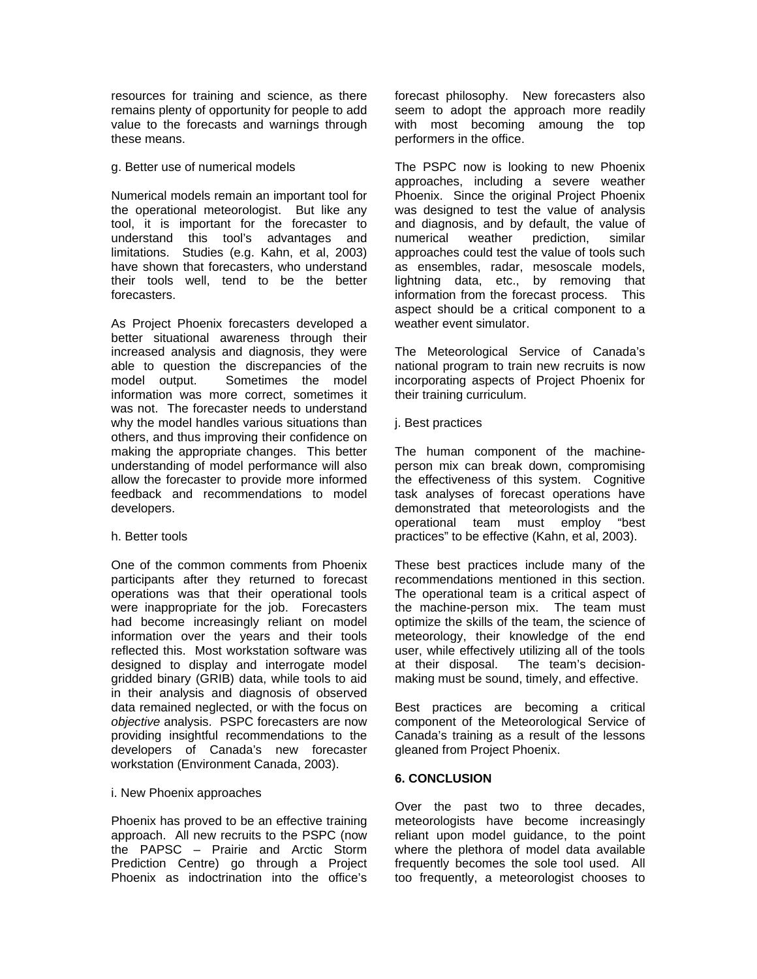resources for training and science, as there remains plenty of opportunity for people to add value to the forecasts and warnings through these means.

### g. Better use of numerical models

Numerical models remain an important tool for the operational meteorologist. But like any tool, it is important for the forecaster to understand this tool's advantages and limitations. Studies (e.g. Kahn, et al, 2003) have shown that forecasters, who understand their tools well, tend to be the better forecasters.

As Project Phoenix forecasters developed a better situational awareness through their increased analysis and diagnosis, they were able to question the discrepancies of the model output. Sometimes the model information was more correct, sometimes it was not. The forecaster needs to understand why the model handles various situations than others, and thus improving their confidence on making the appropriate changes. This better understanding of model performance will also allow the forecaster to provide more informed feedback and recommendations to model developers.

### h. Better tools

One of the common comments from Phoenix participants after they returned to forecast operations was that their operational tools were inappropriate for the job. Forecasters had become increasingly reliant on model information over the years and their tools reflected this. Most workstation software was designed to display and interrogate model gridded binary (GRIB) data, while tools to aid in their analysis and diagnosis of observed data remained neglected, or with the focus on *objective* analysis. PSPC forecasters are now providing insightful recommendations to the developers of Canada's new forecaster workstation (Environment Canada, 2003).

### i. New Phoenix approaches

Phoenix has proved to be an effective training approach. All new recruits to the PSPC (now the PAPSC – Prairie and Arctic Storm Prediction Centre) go through a Project Phoenix as indoctrination into the office's forecast philosophy. New forecasters also seem to adopt the approach more readily with most becoming amoung the top performers in the office.

The PSPC now is looking to new Phoenix approaches, including a severe weather Phoenix. Since the original Project Phoenix was designed to test the value of analysis and diagnosis, and by default, the value of numerical weather prediction, similar approaches could test the value of tools such as ensembles, radar, mesoscale models, lightning data, etc., by removing that information from the forecast process. This aspect should be a critical component to a weather event simulator.

The Meteorological Service of Canada's national program to train new recruits is now incorporating aspects of Project Phoenix for their training curriculum.

j. Best practices

The human component of the machineperson mix can break down, compromising the effectiveness of this system. Cognitive task analyses of forecast operations have demonstrated that meteorologists and the operational team must employ "best practices" to be effective (Kahn, et al, 2003).

These best practices include many of the recommendations mentioned in this section. The operational team is a critical aspect of the machine-person mix. The team must optimize the skills of the team, the science of meteorology, their knowledge of the end user, while effectively utilizing all of the tools at their disposal. The team's decisionmaking must be sound, timely, and effective.

Best practices are becoming a critical component of the Meteorological Service of Canada's training as a result of the lessons gleaned from Project Phoenix.

# **6. CONCLUSION**

Over the past two to three decades, meteorologists have become increasingly reliant upon model guidance, to the point where the plethora of model data available frequently becomes the sole tool used. All too frequently, a meteorologist chooses to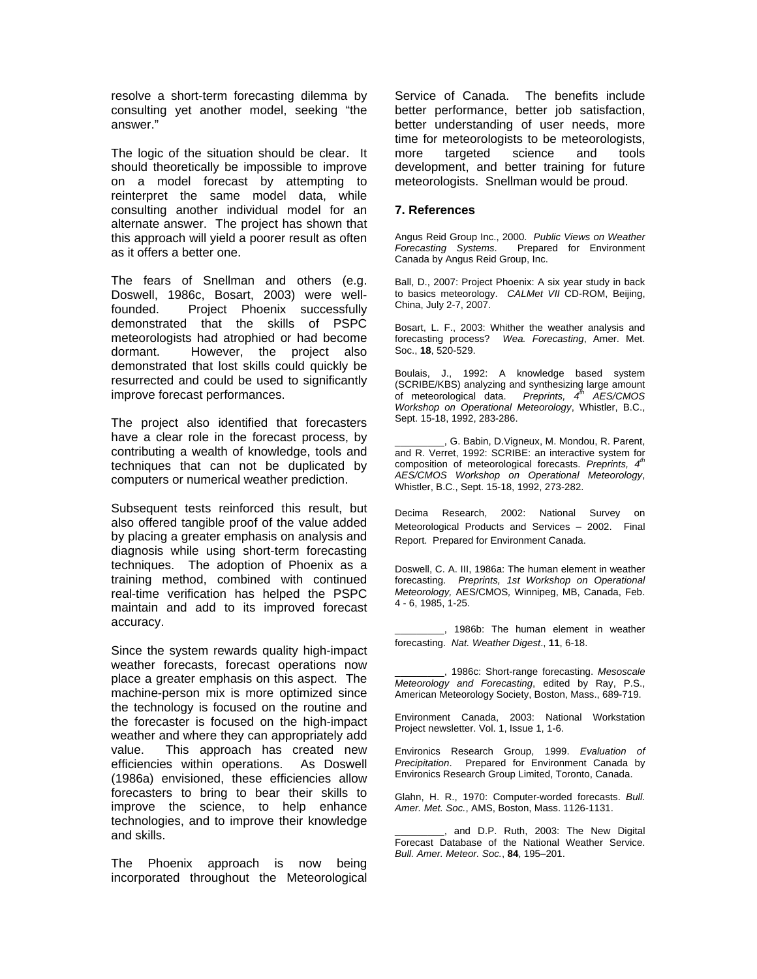resolve a short-term forecasting dilemma by consulting yet another model, seeking "the answer."

The logic of the situation should be clear. It should theoretically be impossible to improve on a model forecast by attempting to reinterpret the same model data, while consulting another individual model for an alternate answer. The project has shown that this approach will yield a poorer result as often as it offers a better one.

The fears of Snellman and others (e.g. Doswell, 1986c, Bosart, 2003) were wellfounded. Project Phoenix successfully demonstrated that the skills of PSPC meteorologists had atrophied or had become dormant. However, the project also demonstrated that lost skills could quickly be resurrected and could be used to significantly improve forecast performances.

The project also identified that forecasters have a clear role in the forecast process, by contributing a wealth of knowledge, tools and techniques that can not be duplicated by computers or numerical weather prediction.

Subsequent tests reinforced this result, but also offered tangible proof of the value added by placing a greater emphasis on analysis and diagnosis while using short-term forecasting techniques. The adoption of Phoenix as a training method, combined with continued real-time verification has helped the PSPC maintain and add to its improved forecast accuracy.

Since the system rewards quality high-impact weather forecasts, forecast operations now place a greater emphasis on this aspect. The machine-person mix is more optimized since the technology is focused on the routine and the forecaster is focused on the high-impact weather and where they can appropriately add value. This approach has created new efficiencies within operations. As Doswell (1986a) envisioned, these efficiencies allow forecasters to bring to bear their skills to improve the science, to help enhance technologies, and to improve their knowledge and skills.

The Phoenix approach is now being incorporated throughout the Meteorological Service of Canada. The benefits include better performance, better job satisfaction, better understanding of user needs, more time for meteorologists to be meteorologists, more targeted science and tools development, and better training for future meteorologists. Snellman would be proud.

#### **7. References**

Angus Reid Group Inc., 2000. *Public Views on Weather Forecasting Systems*. Prepared for Environment Canada by Angus Reid Group, Inc.

Ball, D., 2007: Project Phoenix: A six year study in back to basics meteorology. *CALMet VII* CD-ROM, Beijing, China, July 2-7, 2007.

Bosart, L. F., 2003: Whither the weather analysis and forecasting process? *Wea. Forecasting*, Amer. Met. Soc., **18**, 520-529.

Boulais, J., 1992: A knowledge based system (SCRIBE/KBS) analyzing and synthesizing large amount of meteorological data. *Preprints, 4th AES/CMOS Workshop on Operational Meteorology*, Whistler, B.C., Sept. 15-18, 1992, 283-286.

\_\_\_\_\_\_\_\_\_, G. Babin, D.Vigneux, M. Mondou, R. Parent, and R. Verret, 1992: SCRIBE: an interactive system for composition of meteorological forecasts. *Preprints, 4th AES/CMOS Workshop on Operational Meteorology*, Whistler, B.C., Sept. 15-18, 1992, 273-282.

Decima Research, 2002: National Survey on Meteorological Products and Services – 2002. Final Report. Prepared for Environment Canada.

Doswell, C. A. III, 1986a: The human element in weather forecasting. *Preprints, 1st Workshop on Operational Meteorology,* AES/CMOS*,* Winnipeg, MB, Canada, Feb. 4 - 6, 1985, 1-25.

\_\_\_\_\_\_\_\_\_, 1986b: The human element in weather forecasting. *Nat. Weather Digest*., **11**, 6-18.

\_\_\_\_\_\_\_\_\_, 1986c: Short-range forecasting. *Mesoscale Meteorology and Forecasting*, edited by Ray, P.S., American Meteorology Society, Boston, Mass., 689-719.

Environment Canada, 2003: National Workstation Project newsletter. Vol. 1, Issue 1, 1-6.

Environics Research Group, 1999. *Evaluation of Precipitation*. Prepared for Environment Canada by Environics Research Group Limited, Toronto, Canada.

Glahn, H. R., 1970: Computer-worded forecasts. *Bull. Amer. Met. Soc.*, AMS, Boston, Mass. 1126-1131.

, and D.P. Ruth, 2003: The New Digital Forecast Database of the National Weather Service. *Bull. Amer. Meteor. Soc.*, **84**, 195–201.